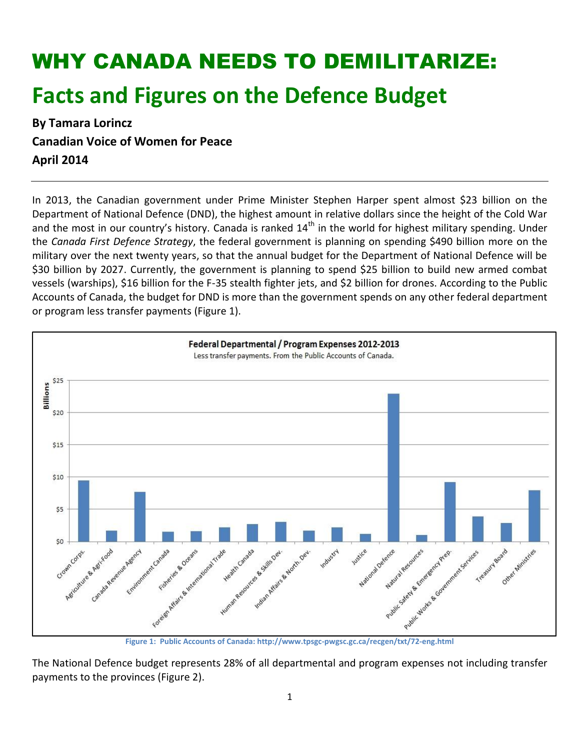# WHY CANADA NEEDS TO DEMILITARIZE: **Facts and Figures on the Defence Budget**

# **By Tamara Lorincz Canadian Voice of Women for Peace April&2014**

In 2013, the Canadian government under Prime Minister Stephen Harper spent almost \$23 billion on the Department of National Defence (DND), the highest amount in relative dollars since the height of the Cold War and the most in our country's history. Canada is ranked 14<sup>th</sup> in the world for highest military spending. Under the *Canada First Defence Strategy*, the federal government is planning on spending \$490 billion more on the military over the next twenty years, so that the annual budget for the Department of National Defence will be \$30 billion by 2027. Currently, the government is planning to spend \$25 billion to build new armed combat vessels (warships), \$16 billion for the F-35 stealth fighter jets, and \$2 billion for drones. According to the Public Accounts of Canada, the budget for DND is more than the government spends on any other federal department or program less transfer payments (Figure 1).



The National Defence budget represents 28% of all departmental and program expenses not including transfer payments to the provinces (Figure 2).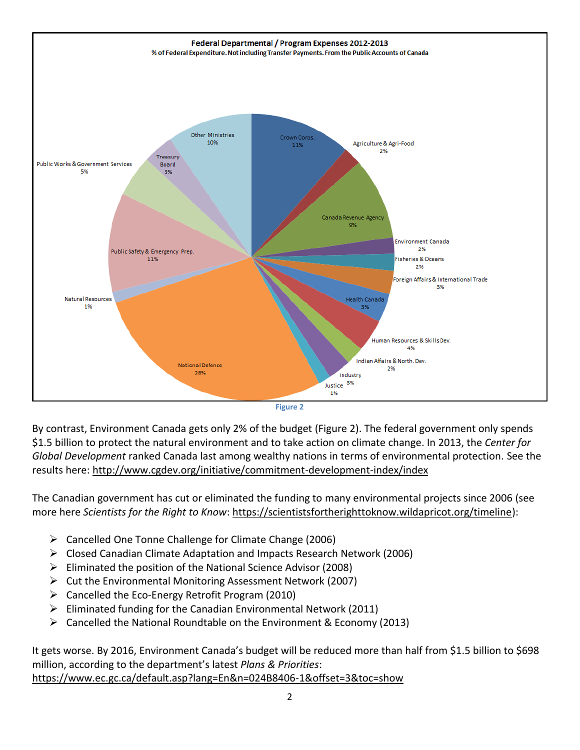



By contrast, Environment Canada gets only 2% of the budget (Figure 2). The federal government only spends \$1.5 billion to protect the natural environment and to take action on climate change. In 2013, the *Center for* Global Development ranked Canada last among wealthy nations in terms of environmental protection. See the results here: http://www.cgdev.org/initiative/commitment-development-index/index

The Canadian government has cut or eliminated the funding to many environmental projects since 2006 (see more here *Scientists for the Right to Know*: https://scientistsfortherighttoknow.wildapricot.org/timeline):

- $\triangleright$  Cancelled One Tonne Challenge for Climate Change (2006)
- ▶ Closed Canadian Climate Adaptation and Impacts Research Network (2006)
- $\triangleright$  Eliminated the position of the National Science Advisor (2008)
- $\triangleright$  Cut the Environmental Monitoring Assessment Network (2007)
- $\triangleright$  Cancelled the Eco-Energy Retrofit Program (2010)
- $\triangleright$  Eliminated funding for the Canadian Environmental Network (2011)
- $\triangleright$  Cancelled the National Roundtable on the Environment & Economy (2013)

It gets worse. By 2016, Environment Canada's budget will be reduced more than half from \$1.5 billion to \$698 million, according to the department's latest *Plans & Priorities*: https://www.ec.gc.ca/default.asp?lang=En&n=024B8406-1&offset=3&toc=show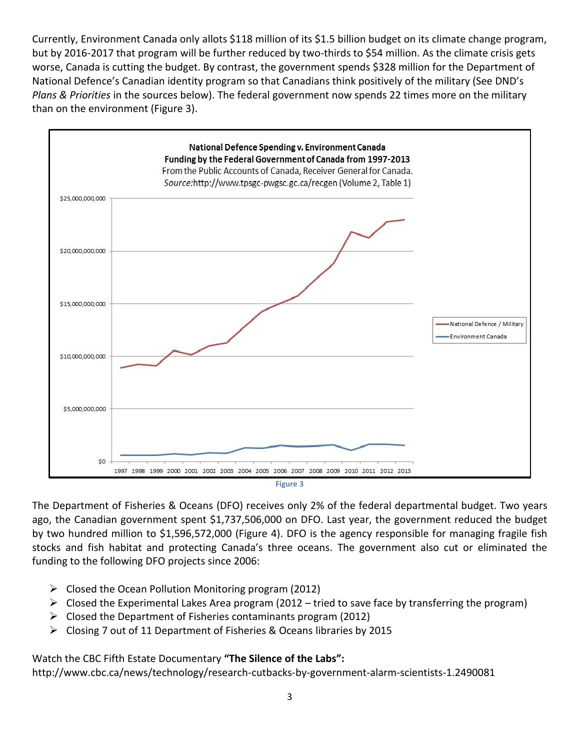Currently, Environment Canada only allots \$118 million of its \$1.5 billion budget on its climate change program, but by 2016-2017 that program will be further reduced by two-thirds to \$54 million. As the climate crisis gets worse, Canada is cutting the budget. By contrast, the government spends \$328 million for the Department of National Defence's Canadian identity program so that Canadians think positively of the military (See DND's *Plans & Priorities* in the sources below). The federal government now spends 22 times more on the military than on the environment (Figure 3).





The Department of Fisheries & Oceans (DFO) receives only 2% of the federal departmental budget. Two years ago, the Canadian government spent \$1,737,506,000 on DFO. Last year, the government reduced the budget by two hundred million to \$1,596,572,000 (Figure 4). DFO is the agency responsible for managing fragile fish stocks and fish habitat and protecting Canada's three oceans. The government also cut or eliminated the funding to the following DFO projects since 2006:

- $\triangleright$  Closed the Ocean Pollution Monitoring program (2012)
- $\triangleright$  Closed the Experimental Lakes Area program (2012 tried to save face by transferring the program)
- $\triangleright$  Closed the Department of Fisheries contaminants program (2012)
- $\triangleright$  Closing 7 out of 11 Department of Fisheries & Oceans libraries by 2015

Watch the CBC Fifth Estate Documentary "The Silence of the Labs": http://www.cbc.ca/news/technology/research-cutbacks-by-government-alarm-scientists-1.2490081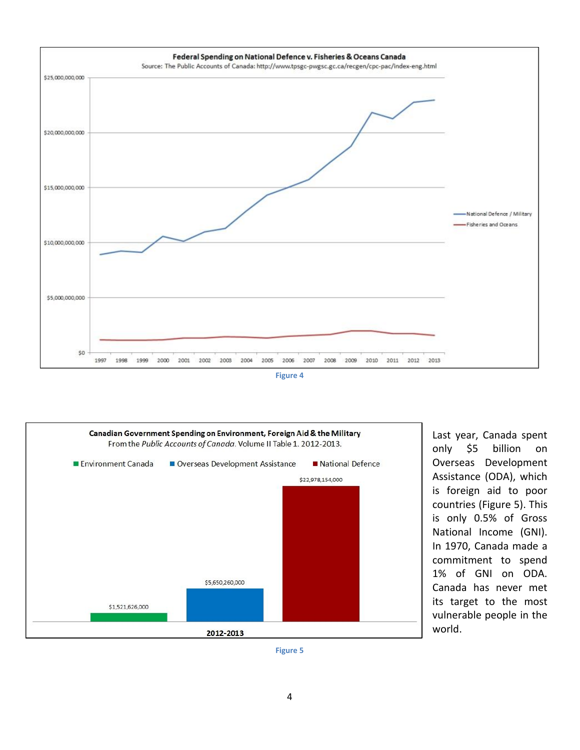





Last year, Canada spent only \$5 billion on Overseas Development Assistance (ODA), which" is foreign aid to poor countries (Figure 5). This is only 0.5% of Gross National Income (GNI). In 1970, Canada made a commitment to spend 1% of GNI on ODA. Canada has never met its target to the most vulnerable people in the world.

**Figure 5**